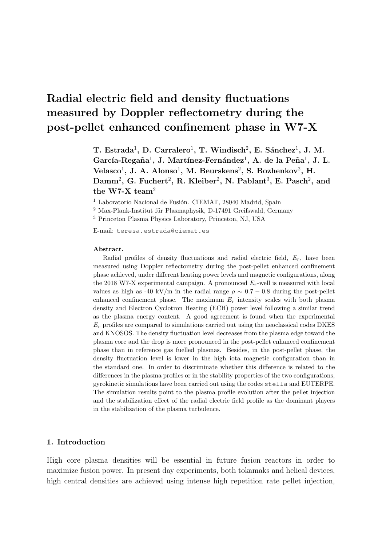# Radial electric field and density fluctuations measured by Doppler reflectometry during the post-pellet enhanced confinement phase in W7-X

T. Estrada<sup>1</sup>, D. Carralero<sup>1</sup>, T. Windisch<sup>2</sup>, E. Sánchez<sup>1</sup>, J. M. García-Regaña<sup>1</sup>, J. Martínez-Fernández<sup>1</sup>, A. de la Peña<sup>1</sup>, J. L. Velasco<sup>1</sup>, J. A. Alonso<sup>1</sup>, M. Beurskens<sup>2</sup>, S. Bozhenkov<sup>2</sup>, H. Damm<sup>2</sup>, G. Fuchert<sup>2</sup>, R. Kleiber<sup>2</sup>, N. Pablant<sup>3</sup>, E. Pasch<sup>2</sup>, and the W7-X team<sup>2</sup>

 $1$  Laboratorio Nacional de Fusión. CIEMAT, 28040 Madrid, Spain

 $2$  Max-Plank-Institut für Plasmaphysik, D-17491 Greifswald, Germany

<sup>3</sup> Princeton Plasma Physics Laboratory, Princeton, NJ, USA

E-mail: teresa.estrada@ciemat.es

#### Abstract.

Radial profiles of density fluctuations and radial electric field,  $E_r$ , have been measured using Doppler reflectometry during the post-pellet enhanced confinement phase achieved, under different heating power levels and magnetic configurations, along the 2018 W7-X experimental campaign. A pronounced  $E_r$ -well is measured with local values as high as -40 kV/m in the radial range  $\rho \sim 0.7 - 0.8$  during the post-pellet enhanced confinement phase. The maximum  $E_r$  intensity scales with both plasma density and Electron Cyclotron Heating (ECH) power level following a similar trend as the plasma energy content. A good agreement is found when the experimental  $E_r$  profiles are compared to simulations carried out using the neoclassical codes DKES and KNOSOS. The density fluctuation level decreases from the plasma edge toward the plasma core and the drop is more pronounced in the post-pellet enhanced confinement phase than in reference gas fuelled plasmas. Besides, in the post-pellet phase, the density fluctuation level is lower in the high iota magnetic configuration than in the standard one. In order to discriminate whether this difference is related to the differences in the plasma profiles or in the stability properties of the two configurations, gyrokinetic simulations have been carried out using the codes stella and EUTERPE. The simulation results point to the plasma profile evolution after the pellet injection and the stabilization effect of the radial electric field profile as the dominant players in the stabilization of the plasma turbulence.

### 1. Introduction

High core plasma densities will be essential in future fusion reactors in order to maximize fusion power. In present day experiments, both tokamaks and helical devices, high central densities are achieved using intense high repetition rate pellet injection,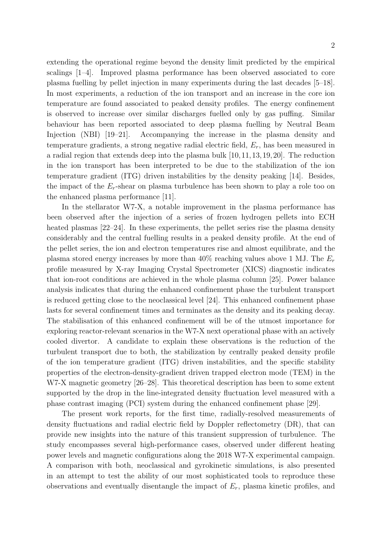extending the operational regime beyond the density limit predicted by the empirical scalings [1–4]. Improved plasma performance has been observed associated to core plasma fuelling by pellet injection in many experiments during the last decades [5–18]. In most experiments, a reduction of the ion transport and an increase in the core ion temperature are found associated to peaked density profiles. The energy confinement is observed to increase over similar discharges fuelled only by gas puffing. Similar behaviour has been reported associated to deep plasma fuelling by Neutral Beam Injection (NBI) [19–21]. Accompanying the increase in the plasma density and temperature gradients, a strong negative radial electric field,  $E_r$ , has been measured in a radial region that extends deep into the plasma bulk [10,11,13,19,20]. The reduction in the ion transport has been interpreted to be due to the stabilization of the ion temperature gradient (ITG) driven instabilities by the density peaking [14]. Besides, the impact of the  $E_r$ -shear on plasma turbulence has been shown to play a role too on the enhanced plasma performance [11].

In the stellarator W7-X, a notable improvement in the plasma performance has been observed after the injection of a series of frozen hydrogen pellets into ECH heated plasmas [22–24]. In these experiments, the pellet series rise the plasma density considerably and the central fuelling results in a peaked density profile. At the end of the pellet series, the ion and electron temperatures rise and almost equilibrate, and the plasma stored energy increases by more than  $40\%$  reaching values above 1 MJ. The  $E_r$ profile measured by X-ray Imaging Crystal Spectrometer (XICS) diagnostic indicates that ion-root conditions are achieved in the whole plasma column [25]. Power balance analysis indicates that during the enhanced confinement phase the turbulent transport is reduced getting close to the neoclassical level [24]. This enhanced confinement phase lasts for several confinement times and terminates as the density and its peaking decay. The stabilisation of this enhanced confinement will be of the utmost importance for exploring reactor-relevant scenarios in the W7-X next operational phase with an actively cooled divertor. A candidate to explain these observations is the reduction of the turbulent transport due to both, the stabilization by centrally peaked density profile of the ion temperature gradient (ITG) driven instabilities, and the specific stability properties of the electron-density-gradient driven trapped electron mode (TEM) in the W7-X magnetic geometry [26–28]. This theoretical description has been to some extent supported by the drop in the line-integrated density fluctuation level measured with a phase contrast imaging (PCI) system during the enhanced confinement phase [29].

The present work reports, for the first time, radially-resolved measurements of density fluctuations and radial electric field by Doppler reflectometry (DR), that can provide new insights into the nature of this transient suppression of turbulence. The study encompasses several high-performance cases, observed under different heating power levels and magnetic configurations along the 2018 W7-X experimental campaign. A comparison with both, neoclassical and gyrokinetic simulations, is also presented in an attempt to test the ability of our most sophisticated tools to reproduce these observations and eventually disentangle the impact of  $E_r$ , plasma kinetic profiles, and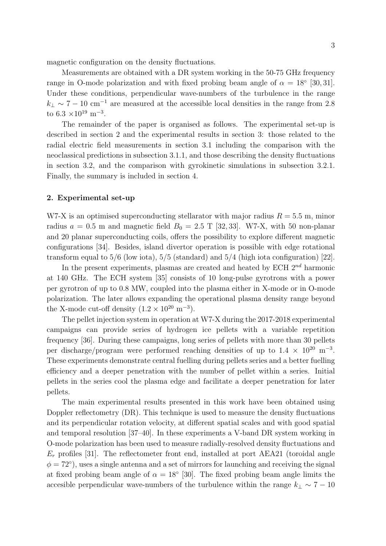magnetic configuration on the density fluctuations.

Measurements are obtained with a DR system working in the 50-75 GHz frequency range in O-mode polarization and with fixed probing beam angle of  $\alpha = 18^{\circ}$  [30, 31]. Under these conditions, perpendicular wave-numbers of the turbulence in the range  $k_{\perp} \sim 7 - 10$  cm<sup>-1</sup> are measured at the accessible local densities in the range from 2.8 to 6.3 × 10<sup>19</sup> m<sup>-3</sup>.

The remainder of the paper is organised as follows. The experimental set-up is described in section 2 and the experimental results in section 3: those related to the radial electric field measurements in section 3.1 including the comparison with the neoclassical predictions in subsection 3.1.1, and those describing the density fluctuations in section 3.2, and the comparison with gyrokinetic simulations in subsection 3.2.1. Finally, the summary is included in section 4.

# 2. Experimental set-up

W7-X is an optimised superconducting stellarator with major radius  $R = 5.5$  m, minor radius  $a = 0.5$  m and magnetic field  $B_0 = 2.5$  T [32, 33]. W7-X, with 50 non-planar and 20 planar superconducting coils, offers the possibility to explore different magnetic configurations [34]. Besides, island divertor operation is possible with edge rotational transform equal to 5/6 (low iota), 5/5 (standard) and 5/4 (high iota configuration) [22].

In the present experiments, plasmas are created and heated by ECH  $2^{nd}$  harmonic at 140 GHz. The ECH system [35] consists of 10 long-pulse gyrotrons with a power per gyrotron of up to 0.8 MW, coupled into the plasma either in X-mode or in O-mode polarization. The later allows expanding the operational plasma density range beyond the X-mode cut-off density  $(1.2 \times 10^{20} \text{ m}^{-3})$ .

The pellet injection system in operation at W7-X during the 2017-2018 experimental campaigns can provide series of hydrogen ice pellets with a variable repetition frequency [36]. During these campaigns, long series of pellets with more than 30 pellets per discharge/program were performed reaching densities of up to  $1.4 \times 10^{20}$  m<sup>-3</sup>. These experiments demonstrate central fuelling during pellets series and a better fuelling efficiency and a deeper penetration with the number of pellet within a series. Initial pellets in the series cool the plasma edge and facilitate a deeper penetration for later pellets.

The main experimental results presented in this work have been obtained using Doppler reflectometry (DR). This technique is used to measure the density fluctuations and its perpendicular rotation velocity, at different spatial scales and with good spatial and temporal resolution [37–40]. In these experiments a V-band DR system working in O-mode polarization has been used to measure radially-resolved density fluctuations and  $E_r$  profiles [31]. The reflectometer front end, installed at port AEA21 (toroidal angle  $\phi = 72^{\circ}$ , uses a single antenna and a set of mirrors for launching and receiving the signal at fixed probing beam angle of  $\alpha = 18^{\circ}$  [30]. The fixed probing beam angle limits the accesible perpendicular wave-numbers of the turbulence within the range  $k_{\perp} \sim 7 - 10$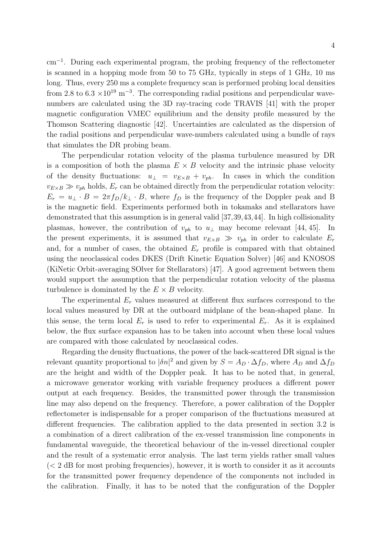cm<sup>−</sup><sup>1</sup> . During each experimental program, the probing frequency of the reflectometer is scanned in a hopping mode from 50 to 75 GHz, typically in steps of 1 GHz, 10 ms long. Thus, every 250 ms a complete frequency scan is performed probing local densities from 2.8 to  $6.3 \times 10^{19}$  m<sup>-3</sup>. The corresponding radial positions and perpendicular wavenumbers are calculated using the 3D ray-tracing code TRAVIS [41] with the proper magnetic configuration VMEC equilibrium and the density profile measured by the Thomson Scattering diagnostic [42]. Uncertainties are calculated as the dispersion of the radial positions and perpendicular wave-numbers calculated using a bundle of rays that simulates the DR probing beam.

The perpendicular rotation velocity of the plasma turbulence measured by DR is a composition of both the plasma  $E \times B$  velocity and the intrinsic phase velocity of the density fluctuations:  $u_{\perp} = v_{E \times B} + v_{ph}$ . In cases in which the condition  $v_{E\times B} \gg v_{ph}$  holds,  $E_r$  can be obtained directly from the perpendicular rotation velocity:  $E_r = u_{\perp} \cdot B = 2\pi f_D/k_{\perp} \cdot B$ , where  $f_D$  is the frequency of the Doppler peak and B is the magnetic field. Experiments performed both in tokamaks and stellarators have demonstrated that this assumption is in general valid [37,39,43,44]. In high collisionality plasmas, however, the contribution of  $v_{ph}$  to  $u_{\perp}$  may become relevant [44, 45]. In the present experiments, it is assumed that  $v_{E\times B} \gg v_{ph}$  in order to calculate  $E_r$ and, for a number of cases, the obtained  $E_r$  profile is compared with that obtained using the neoclassical codes DKES (Drift Kinetic Equation Solver) [46] and KNOSOS (KiNetic Orbit-averaging SOlver for Stellarators) [47]. A good agreement between them would support the assumption that the perpendicular rotation velocity of the plasma turbulence is dominated by the  $E \times B$  velocity.

The experimental  $E_r$  values measured at different flux surfaces correspond to the local values measured by DR at the outboard midplane of the bean-shaped plane. In this sense, the term local  $E_r$  is used to refer to experimental  $E_r$ . As it is explained below, the flux surface expansion has to be taken into account when these local values are compared with those calculated by neoclassical codes.

Regarding the density fluctuations, the power of the back-scattered DR signal is the relevant quantity proportional to  $|\delta n|^2$  and given by  $S = A_D \cdot \Delta f_D$ , where  $A_D$  and  $\Delta f_D$ are the height and width of the Doppler peak. It has to be noted that, in general, a microwave generator working with variable frequency produces a different power output at each frequency. Besides, the transmitted power through the transmission line may also depend on the frequency. Therefore, a power calibration of the Doppler reflectometer is indispensable for a proper comparison of the fluctuations measured at different frequencies. The calibration applied to the data presented in section 3.2 is a combination of a direct calibration of the ex-vessel transmission line components in fundamental waveguide, the theoretical behaviour of the in-vessel directional coupler and the result of a systematic error analysis. The last term yields rather small values  $\zeta$  ( $\zeta$  2 dB for most probing frequencies), however, it is worth to consider it as it accounts for the transmitted power frequency dependence of the components not included in the calibration. Finally, it has to be noted that the configuration of the Doppler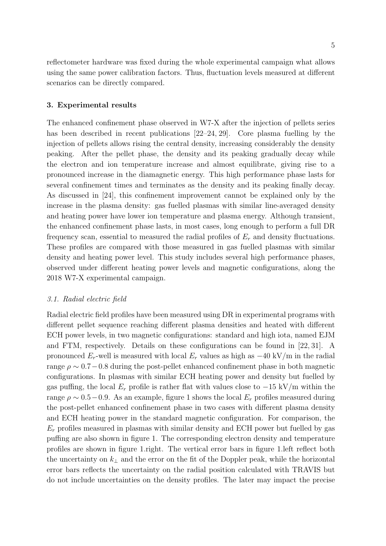reflectometer hardware was fixed during the whole experimental campaign what allows using the same power calibration factors. Thus, fluctuation levels measured at different scenarios can be directly compared.

### 3. Experimental results

The enhanced confinement phase observed in W7-X after the injection of pellets series has been described in recent publications [22–24, 29]. Core plasma fuelling by the injection of pellets allows rising the central density, increasing considerably the density peaking. After the pellet phase, the density and its peaking gradually decay while the electron and ion temperature increase and almost equilibrate, giving rise to a pronounced increase in the diamagnetic energy. This high performance phase lasts for several confinement times and terminates as the density and its peaking finally decay. As discussed in [24], this confinement improvement cannot be explained only by the increase in the plasma density: gas fuelled plasmas with similar line-averaged density and heating power have lower ion temperature and plasma energy. Although transient, the enhanced confinement phase lasts, in most cases, long enough to perform a full DR frequency scan, essential to measured the radial profiles of  $E_r$  and density fluctuations. These profiles are compared with those measured in gas fuelled plasmas with similar density and heating power level. This study includes several high performance phases, observed under different heating power levels and magnetic configurations, along the 2018 W7-X experimental campaign.

### 3.1. Radial electric field

Radial electric field profiles have been measured using DR in experimental programs with different pellet sequence reaching different plasma densities and heated with different ECH power levels, in two magnetic configurations: standard and high iota, named EJM and FTM, respectively. Details on these configurations can be found in [22, 31]. A pronounced  $E_r$ -well is measured with local  $E_r$  values as high as  $-40$  kV/m in the radial range  $\rho \sim 0.7-0.8$  during the post-pellet enhanced confinement phase in both magnetic configurations. In plasmas with similar ECH heating power and density but fuelled by gas puffing, the local  $E_r$  profile is rather flat with values close to  $-15 \text{ kV/m}$  within the range  $\rho \sim 0.5-0.9$ . As an example, figure 1 shows the local  $E_r$  profiles measured during the post-pellet enhanced confinement phase in two cases with different plasma density and ECH heating power in the standard magnetic configuration. For comparison, the  $E_r$  profiles measured in plasmas with similar density and ECH power but fuelled by gas puffing are also shown in figure 1. The corresponding electron density and temperature profiles are shown in figure 1.right. The vertical error bars in figure 1.left reflect both the uncertainty on  $k_{\perp}$  and the error on the fit of the Doppler peak, while the horizontal error bars reflects the uncertainty on the radial position calculated with TRAVIS but do not include uncertainties on the density profiles. The later may impact the precise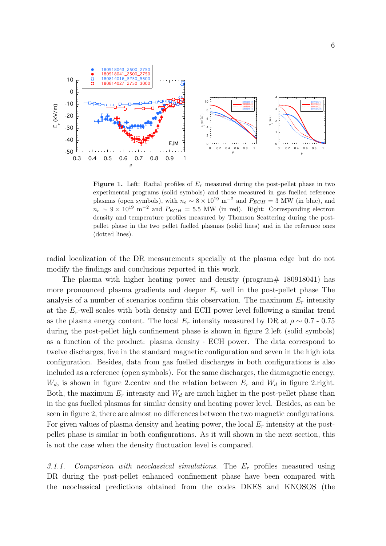

**Figure 1.** Left: Radial profiles of  $E_r$  measured during the post-pellet phase in two experimental programs (solid symbols) and those measured in gas fuelled reference plasmas (open symbols), with  $n_e \sim 8 \times 10^{19}$  m<sup>-2</sup> and  $P_{ECH} = 3$  MW (in blue), and  $n_e \sim 9 \times 10^{19} \text{ m}^{-2}$  and  $P_{ECH} = 5.5 \text{ MW}$  (in red). Right: Corresponding electron density and temperature profiles measured by Thomson Scattering during the postpellet phase in the two pellet fuelled plasmas (solid lines) and in the reference ones (dotted lines).

radial localization of the DR measurements specially at the plasma edge but do not modify the findings and conclusions reported in this work.

The plasma with higher heating power and density (program# 180918041) has more pronounced plasma gradients and deeper  $E_r$  well in the post-pellet phase The analysis of a number of scenarios confirm this observation. The maximum  $E_r$  intensity at the  $E_r$ -well scales with both density and ECH power level following a similar trend as the plasma energy content. The local  $E_r$  intensity measured by DR at  $\rho \sim 0.7$  - 0.75 during the post-pellet high confinement phase is shown in figure 2.left (solid symbols) as a function of the product: plasma density · ECH power. The data correspond to twelve discharges, five in the standard magnetic configuration and seven in the high iota configuration. Besides, data from gas fuelled discharges in both configurations is also included as a reference (open symbols). For the same discharges, the diamagnetic energy,  $W_d$ , is shown in figure 2.centre and the relation between  $E_r$  and  $W_d$  in figure 2.right. Both, the maximum  $E_r$  intensity and  $W_d$  are much higher in the post-pellet phase than in the gas fuelled plasmas for similar density and heating power level. Besides, as can be seen in figure 2, there are almost no differences between the two magnetic configurations. For given values of plasma density and heating power, the local  $E_r$  intensity at the postpellet phase is similar in both configurations. As it will shown in the next section, this is not the case when the density fluctuation level is compared.

3.1.1. Comparison with neoclassical simulations. The  $E_r$  profiles measured using DR during the post-pellet enhanced confinement phase have been compared with the neoclassical predictions obtained from the codes DKES and KNOSOS (the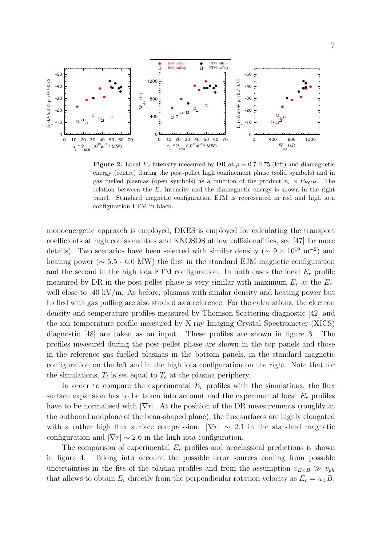

Figure 2. Local  $E_r$  intensity measured by DR at  $\rho \sim 0.7$ -0.75 (left) and diamagnetic energy (centre) during the post-pellet high confinement phase (solid symbols) and in gas fuelled plasmas (open symbols) as a function of the product  $n_e \times P_{ECH}$ . The relation between the  $E_r$  intensity and the diamagnetic energy is shown in the right panel. Standard magnetic configuration EJM is represented in red and high iota configuration FTM in black.

monoenergetic approach is employed; DKES is employed for calculating the transport coefficients at high collisionalities and KNOSOS at low collisionalities, see [47] for more details). Two scenarios have been selected with similar density ( $\sim 9 \times 10^{19}$  m<sup>-2</sup>) and heating power (∼ 5.5 - 6.0 MW) the first in the standard EJM magnetic configuration and the second in the high iota FTM configuration. In both cases the local  $E_r$  profile measured by DR in the post-pellet phase is very similar with maximum  $E_r$  at the  $E_r$ well close to  $-40 \text{ kV/m}$ . As before, plasmas with similar density and heating power but fuelled with gas puffing are also studied as a reference. For the calculations, the electron density and temperature profiles measured by Thomson Scattering diagnostic [42] and the ion temperature profile measured by X-ray Imaging Crystal Spectrometer (XICS) diagnostic [48] are taken as an input. These profiles are shown in figure 3. The profiles measured during the post-pellet phase are shown in the top panels and those in the reference gas fuelled plasmas in the bottom panels, in the standard magnetic configuration on the left and in the high iota configuration on the right. Note that for the simulations,  $T_i$  is set equal to  $T_e$  at the plasma periphery.

In order to compare the experimental  $E_r$  profiles with the simulations, the flux surface expansion has to be taken into account and the experimental local  $E_r$  profiles have to be normalised with  $|\nabla r|$ . At the position of the DR measurements (roughly at the outboard midplane of the bean-shaped plane), the flux surfaces are highly elongated with a rather high flux surface compression:  $|\nabla r| \sim 2.1$  in the standard magnetic configuration and  $|\nabla r| \sim 2.6$  in the high iota configuration.

The comparison of experimental  $E_r$  profiles and neoclassical predictions is shown in figure 4. Taking into account the possible error sources coming from possible uncertainties in the fits of the plasma profiles and from the assumption  $v_{E\times B} \gg v_{ph}$ that allows to obtain  $E_r$  directly from the perpendicular rotation velocity as  $E_r = u_\perp B$ ,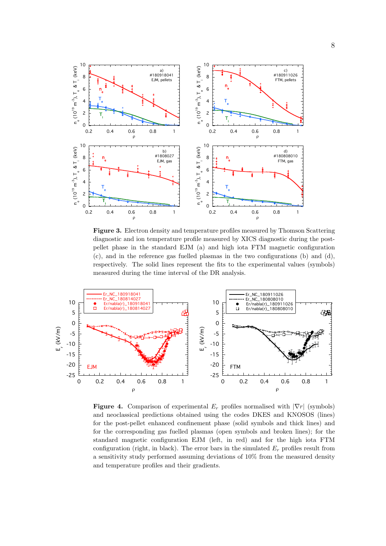

Figure 3. Electron density and temperature profiles measured by Thomson Scattering diagnostic and ion temperature profile measured by XICS diagnostic during the postpellet phase in the standard EJM (a) and high iota FTM magnetic configuration  $(c)$ , and in the reference gas fuelled plasmas in the two configurations  $(b)$  and  $(d)$ , respectively. The solid lines represent the fits to the experimental values (symbols) measured during the time interval of the DR analysis.



Figure 4. Comparison of experimental  $E_r$  profiles normalised with  $|\nabla r|$  (symbols) and neoclassical predictions obtained using the codes DKES and KNOSOS (lines) for the post-pellet enhanced confinement phase (solid symbols and thick lines) and for the corresponding gas fuelled plasmas (open symbols and broken lines); for the standard magnetic configuration EJM (left, in red) and for the high iota FTM configuration (right, in black). The error bars in the simulated  $E_r$  profiles result from a sensitivity study performed assuming deviations of 10% from the measured density and temperature profiles and their gradients.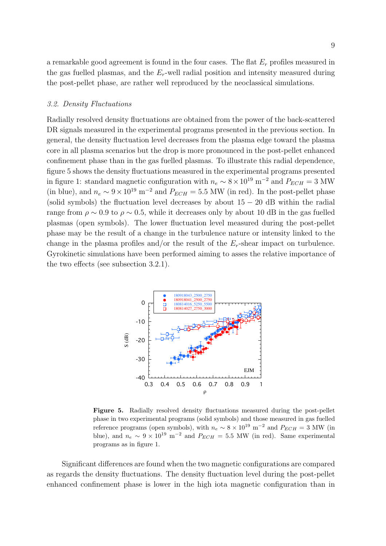a remarkable good agreement is found in the four cases. The flat  $E_r$  profiles measured in the gas fuelled plasmas, and the  $E_r$ -well radial position and intensity measured during the post-pellet phase, are rather well reproduced by the neoclassical simulations.

#### 3.2. Density Fluctuations

Radially resolved density fluctuations are obtained from the power of the back-scattered DR signals measured in the experimental programs presented in the previous section. In general, the density fluctuation level decreases from the plasma edge toward the plasma core in all plasma scenarios but the drop is more pronounced in the post-pellet enhanced confinement phase than in the gas fuelled plasmas. To illustrate this radial dependence, figure 5 shows the density fluctuations measured in the experimental programs presented in figure 1: standard magnetic configuration with  $n_e \sim 8 \times 10^{19}$  m<sup>-2</sup> and  $P_{ECH} = 3$  MW (in blue), and  $n_e \sim 9 \times 10^{19}$  m<sup>-2</sup> and  $P_{ECH} = 5.5$  MW (in red). In the post-pellet phase (solid symbols) the fluctuation level decreases by about  $15 - 20$  dB within the radial range from  $\rho \sim 0.9$  to  $\rho \sim 0.5$ , while it decreases only by about 10 dB in the gas fuelled plasmas (open symbols). The lower fluctuation level measured during the post-pellet phase may be the result of a change in the turbulence nature or intensity linked to the change in the plasma profiles and/or the result of the  $E_r$ -shear impact on turbulence. Gyrokinetic simulations have been performed aiming to asses the relative importance of the two effects (see subsection 3.2.1).



Figure 5. Radially resolved density fluctuations measured during the post-pellet phase in two experimental programs (solid symbols) and those measured in gas fuelled reference programs (open symbols), with  $n_e \sim 8 \times 10^{19} \text{ m}^{-2}$  and  $P_{ECH} = 3 \text{ MW}$  (in blue), and  $n_e \sim 9 \times 10^{19} \text{ m}^{-2}$  and  $P_{ECH} = 5.5 \text{ MW}$  (in red). Same experimental programs as in figure 1.

Significant differences are found when the two magnetic configurations are compared as regards the density fluctuations. The density fluctuation level during the post-pellet enhanced confinement phase is lower in the high iota magnetic configuration than in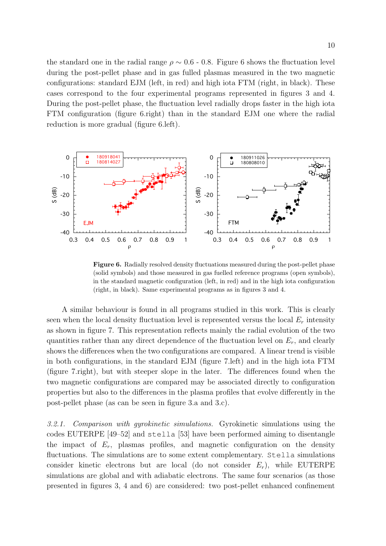the standard one in the radial range  $\rho \sim 0.6$  - 0.8. Figure 6 shows the fluctuation level during the post-pellet phase and in gas fulled plasmas measured in the two magnetic configurations: standard EJM (left, in red) and high iota FTM (right, in black). These cases correspond to the four experimental programs represented in figures 3 and 4. During the post-pellet phase, the fluctuation level radially drops faster in the high iota FTM configuration (figure 6.right) than in the standard EJM one where the radial reduction is more gradual (figure 6.left).



Figure 6. Radially resolved density fluctuations measured during the post-pellet phase (solid symbols) and those measured in gas fuelled reference programs (open symbols), in the standard magnetic configuration (left, in red) and in the high iota configuration (right, in black). Same experimental programs as in figures 3 and 4.

A similar behaviour is found in all programs studied in this work. This is clearly seen when the local density fluctuation level is represented versus the local  $E_r$  intensity as shown in figure 7. This representation reflects mainly the radial evolution of the two quantities rather than any direct dependence of the fluctuation level on  $E_r$ , and clearly shows the differences when the two configurations are compared. A linear trend is visible in both configurations, in the standard EJM (figure 7.left) and in the high iota FTM (figure 7.right), but with steeper slope in the later. The differences found when the two magnetic configurations are compared may be associated directly to configuration properties but also to the differences in the plasma profiles that evolve differently in the post-pellet phase (as can be seen in figure 3.a and 3.c).

3.2.1. Comparison with gyrokinetic simulations. Gyrokinetic simulations using the codes EUTERPE [49–52] and stella [53] have been performed aiming to disentangle the impact of  $E_r$ , plasmas profiles, and magnetic configuration on the density fluctuations. The simulations are to some extent complementary. Stella simulations consider kinetic electrons but are local (do not consider  $E_r$ ), while EUTERPE simulations are global and with adiabatic electrons. The same four scenarios (as those presented in figures 3, 4 and 6) are considered: two post-pellet enhanced confinement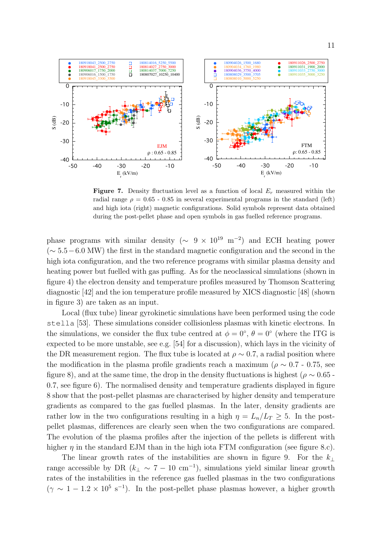

**Figure 7.** Density fluctuation level as a function of local  $E_r$  measured within the radial range  $\rho = 0.65$  - 0.85 in several experimental programs in the standard (left) and high iota (right) magnetic configurations. Solid symbols represent data obtained during the post-pellet phase and open symbols in gas fuelled reference programs.

phase programs with similar density ( $\sim 9 \times 10^{19}$  m<sup>-2</sup>) and ECH heating power  $({\sim 5.5-6.0 \text{ MW}})$  the first in the standard magnetic configuration and the second in the high iota configuration, and the two reference programs with similar plasma density and heating power but fuelled with gas puffing. As for the neoclassical simulations (shown in figure 4) the electron density and temperature profiles measured by Thomson Scattering diagnostic [42] and the ion temperature profile measured by XICS diagnostic [48] (shown in figure 3) are taken as an input.

Local (flux tube) linear gyrokinetic simulations have been performed using the code stella [53]. These simulations consider collisionless plasmas with kinetic electrons. In the simulations, we consider the flux tube centred at  $\phi = 0^{\circ}$ ,  $\theta = 0^{\circ}$  (where the ITG is expected to be more unstable, see e.g. [54] for a discussion), which lays in the vicinity of the DR measurement region. The flux tube is located at  $\rho \sim 0.7$ , a radial position where the modification in the plasma profile gradients reach a maximum ( $\rho \sim 0.7$  - 0.75, see figure 8), and at the same time, the drop in the density fluctuations is highest ( $\rho \sim 0.65$ . 0.7, see figure 6). The normalised density and temperature gradients displayed in figure 8 show that the post-pellet plasmas are characterised by higher density and temperature gradients as compared to the gas fuelled plasmas. In the later, density gradients are rather low in the two configurations resulting in a high  $\eta = L_n/L_T \geq 5$ . In the postpellet plasmas, differences are clearly seen when the two configurations are compared. The evolution of the plasma profiles after the injection of the pellets is different with higher  $\eta$  in the standard EJM than in the high iota FTM configuration (see figure 8.c).

The linear growth rates of the instabilities are shown in figure 9. For the  $k_{\perp}$ range accessible by DR ( $k_{\perp} \sim 7 - 10$  cm<sup>-1</sup>), simulations yield similar linear growth rates of the instabilities in the reference gas fuelled plasmas in the two configurations  $(\gamma \sim 1 - 1.2 \times 10^5 \text{ s}^{-1})$ . In the post-pellet phase plasmas however, a higher growth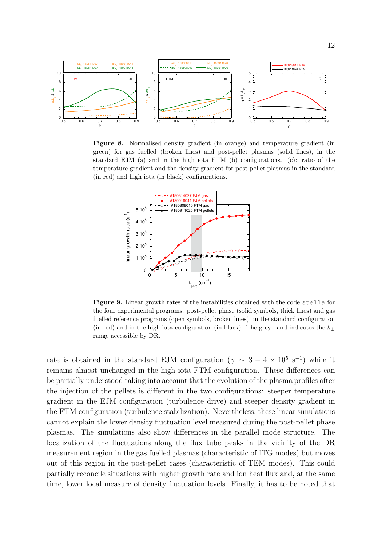

Figure 8. Normalised density gradient (in orange) and temperature gradient (in green) for gas fuelled (broken lines) and post-pellet plasmas (solid lines), in the standard EJM (a) and in the high iota FTM (b) configurations. (c): ratio of the temperature gradient and the density gradient for post-pellet plasmas in the standard (in red) and high iota (in black) configurations.



Figure 9. Linear growth rates of the instabilities obtained with the code stella for the four experimental programs: post-pellet phase (solid symbols, thick lines) and gas fuelled reference programs (open symbols, broken lines); in the standard configuration (in red) and in the high iota configuration (in black). The grey band indicates the  $k_{\perp}$ range accessible by DR.

rate is obtained in the standard EJM configuration  $(\gamma \sim 3 - 4 \times 10^5 \text{ s}^{-1})$  while it remains almost unchanged in the high iota FTM configuration. These differences can be partially understood taking into account that the evolution of the plasma profiles after the injection of the pellets is different in the two configurations: steeper temperature gradient in the EJM configuration (turbulence drive) and steeper density gradient in the FTM configuration (turbulence stabilization). Nevertheless, these linear simulations cannot explain the lower density fluctuation level measured during the post-pellet phase plasmas. The simulations also show differences in the parallel mode structure. The localization of the fluctuations along the flux tube peaks in the vicinity of the DR measurement region in the gas fuelled plasmas (characteristic of ITG modes) but moves out of this region in the post-pellet cases (characteristic of TEM modes). This could partially reconcile situations with higher growth rate and ion heat flux and, at the same time, lower local measure of density fluctuation levels. Finally, it has to be noted that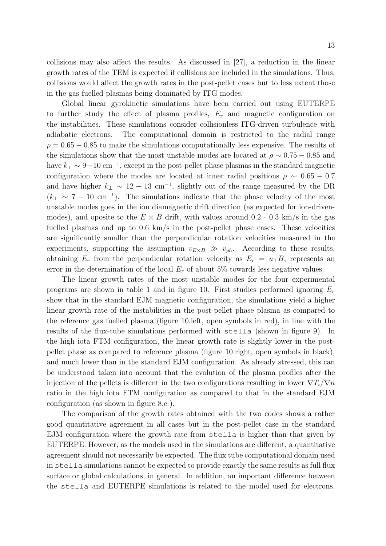collisions may also affect the results. As discussed in [27], a reduction in the linear growth rates of the TEM is expected if collisions are included in the simulations. Thus, collisions would affect the growth rates in the post-pellet cases but to less extent those in the gas fuelled plasmas being dominated by ITG modes.

Global linear gyrokinetic simulations have been carried out using EUTERPE to further study the effect of plasma profiles,  $E_r$  and magnetic configuration on the instabilities. These simulations consider collisionless ITG-driven turbulence with adiabatic electrons. The computational domain is restricted to the radial range  $\rho = 0.65 - 0.85$  to make the simulations computationally less expensive. The results of the simulations show that the most unstable modes are located at  $\rho \sim 0.75 - 0.85$  and have  $k_{\perp} \sim 9-10 \text{ cm}^{-1}$ , except in the post-pellet phase plasmas in the standard magnetic configuration where the modes are located at inner radial positions  $\rho \sim 0.65 - 0.7$ and have higher  $k_{\perp} \sim 12 - 13$  cm<sup>-1</sup>, slightly out of the range measured by the DR  $(k<sub>⊥</sub> ~ 7 - 10 cm<sup>-1</sup>)$ . The simulations indicate that the phase velocity of the most unstable modes goes in the ion diamagnetic drift direction (as expected for ion-drivenmodes), and oposite to the  $E \times B$  drift, with values around 0.2 - 0.3 km/s in the gas fuelled plasmas and up to 0.6 km/s in the post-pellet phase cases. These velocities are significantly smaller than the perpendicular rotation velocities measured in the experiments, supporting the assumption  $v_{E\times B} \gg v_{ph}$ . According to these results, obtaining  $E_r$  from the perpendicular rotation velocity as  $E_r = u_\perp B$ , represents an error in the determination of the local  $E_r$  of about 5% towards less negative values.

The linear growth rates of the most unstable modes for the four experimental programs are shown in table 1 and in figure 10. First studies performed ignoring  $E_r$ show that in the standard EJM magnetic configuration, the simulations yield a higher linear growth rate of the instabilities in the post-pellet phase plasma as compared to the reference gas fuelled plasma (figure 10.left, open symbols in red), in line with the results of the flux-tube simulations performed with stella (shown in figure 9). In the high iota FTM configuration, the linear growth rate is slightly lower in the postpellet phase as compared to reference plasma (figure 10.right, open symbols in black), and much lower than in the standard EJM configuration. As already stressed, this can be understood taken into account that the evolution of the plasma profiles after the injection of the pellets is different in the two configurations resulting in lower  $\nabla T_i/\nabla n$ ratio in the high iota FTM configuration as compared to that in the standard EJM configuration (as shown in figure 8.c ).

The comparison of the growth rates obtained with the two codes shows a rather good quantitative agreement in all cases but in the post-pellet case in the standard EJM configuration where the growth rate from stella is higher than that given by EUTERPE. However, as the models used in the simulations are different, a quantitative agreement should not necessarily be expected. The flux tube computational domain used in stella simulations cannot be expected to provide exactly the same results as full flux surface or global calculations, in general. In addition, an important difference between the stella and EUTERPE simulations is related to the model used for electrons.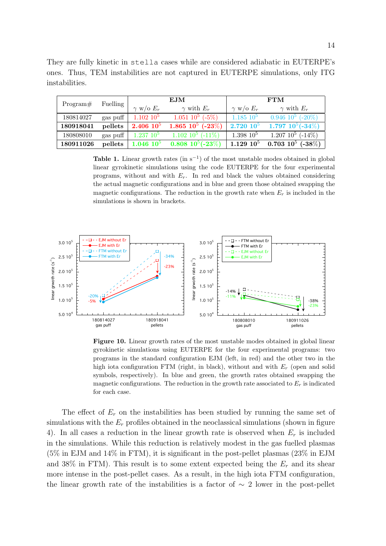|                | They are fully kinetic in stella cases while are considered adiabatic in EUTERPE's |  |  |  |  |  |  |  |
|----------------|------------------------------------------------------------------------------------|--|--|--|--|--|--|--|
|                | ones. Thus, TEM instabilities are not captured in EUTERPE simulations, only ITG    |  |  |  |  |  |  |  |
| instabilities. |                                                                                    |  |  |  |  |  |  |  |

|           |                  |                    | <b>EJM</b>                       | <b>FTM</b>         |                            |  |  |
|-----------|------------------|--------------------|----------------------------------|--------------------|----------------------------|--|--|
| Program#  | Fuelling         | $\gamma$ w/o $E_r$ | $\gamma$ with $E_r$              | $\gamma$ w/o $E_r$ | $\gamma$ with $E_r$        |  |  |
| 180814027 | gas puff         | $1.102\;10^5$      | $1.051~10^5~(-5\%)$              | $1.185\;10^5$      | $0.946\ 10^5\ (-20\%)$     |  |  |
| 180918041 | pellets          | $2.406\;10^5$      | 1.865 $10^5$ (-23%)              | $2.720\;10^5$      | 1.797 $10^5(-34\%)$        |  |  |
| 180808010 | gas puff $\vert$ | $1.237\;10^{5}$    | $1.102 \; 10^5 \; (-11\%)$       | $1.398\;10^5$      | $1.207\;10^5\;(-14\%)$     |  |  |
| 180911026 | pellets          | $1.046\;10^5$      | $0.808\;10^5 (-\overline{23\%})$ | $1.129\;10^5$      | $0.703 \; 10^5 \; (-38\%)$ |  |  |

Table 1. Linear growth rates (in  $s^{-1}$ ) of the most unstable modes obtained in global linear gyrokinetic simulations using the code EUTERPE for the four experimental programs, without and with  $E_r$ . In red and black the values obtained considering the actual magnetic configurations and in blue and green those obtained swapping the magnetic configurations. The reduction in the growth rate when  $E_r$  is included in the simulations is shown in brackets.



Figure 10. Linear growth rates of the most unstable modes obtained in global linear gyrokinetic simulations using EUTERPE for the four experimental programs: two programs in the standard configuration EJM (left, in red) and the other two in the high iota configuration FTM (right, in black), without and with  $E_r$  (open and solid symbols, respectively). In blue and green, the growth rates obtained swapping the magnetic configurations. The reduction in the growth rate associated to  $E_r$  is indicated for each case.

The effect of  $E_r$  on the instabilities has been studied by running the same set of simulations with the  $E_r$  profiles obtained in the neoclassical simulations (shown in figure 4). In all cases a reduction in the linear growth rate is observed when  $E_r$  is included in the simulations. While this reduction is relatively modest in the gas fuelled plasmas (5% in EJM and 14% in FTM), it is significant in the post-pellet plasmas (23% in EJM and 38% in FTM). This result is to some extent expected being the  $E_r$  and its shear more intense in the post-pellet cases. As a result, in the high iota FTM configuration, the linear growth rate of the instabilities is a factor of  $\sim 2$  lower in the post-pellet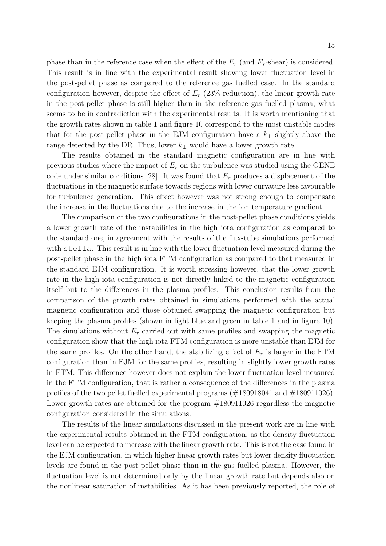phase than in the reference case when the effect of the  $E_r$  (and  $E_r$ -shear) is considered. This result is in line with the experimental result showing lower fluctuation level in the post-pellet phase as compared to the reference gas fuelled case. In the standard configuration however, despite the effect of  $E_r$  (23% reduction), the linear growth rate in the post-pellet phase is still higher than in the reference gas fuelled plasma, what seems to be in contradiction with the experimental results. It is worth mentioning that the growth rates shown in table 1 and figure 10 correspond to the most unstable modes that for the post-pellet phase in the EJM configuration have a  $k_{\perp}$  slightly above the range detected by the DR. Thus, lower  $k_{\perp}$  would have a lower growth rate.

The results obtained in the standard magnetic configuration are in line with previous studies where the impact of  $E_r$  on the turbulence was studied using the GENE code under similar conditions [28]. It was found that  $E_r$  produces a displacement of the fluctuations in the magnetic surface towards regions with lower curvature less favourable for turbulence generation. This effect however was not strong enough to compensate the increase in the fluctuations due to the increase in the ion temperature gradient.

The comparison of the two configurations in the post-pellet phase conditions yields a lower growth rate of the instabilities in the high iota configuration as compared to the standard one, in agreement with the results of the flux-tube simulations performed with stella. This result is in line with the lower fluctuation level measured during the post-pellet phase in the high iota FTM configuration as compared to that measured in the standard EJM configuration. It is worth stressing however, that the lower growth rate in the high iota configuration is not directly linked to the magnetic configuration itself but to the differences in the plasma profiles. This conclusion results from the comparison of the growth rates obtained in simulations performed with the actual magnetic configuration and those obtained swapping the magnetic configuration but keeping the plasma profiles (shown in light blue and green in table 1 and in figure 10). The simulations without  $E_r$  carried out with same profiles and swapping the magnetic configuration show that the high iota FTM configuration is more unstable than EJM for the same profiles. On the other hand, the stabilizing effect of  $E_r$  is larger in the FTM configuration than in EJM for the same profiles, resulting in slightly lower growth rates in FTM. This difference however does not explain the lower fluctuation level measured in the FTM configuration, that is rather a consequence of the differences in the plasma profiles of the two pellet fuelled experimental programs (#180918041 and #180911026). Lower growth rates are obtained for the program  $\#180911026$  regardless the magnetic configuration considered in the simulations.

The results of the linear simulations discussed in the present work are in line with the experimental results obtained in the FTM configuration, as the density fluctuation level can be expected to increase with the linear growth rate. This is not the case found in the EJM configuration, in which higher linear growth rates but lower density fluctuation levels are found in the post-pellet phase than in the gas fuelled plasma. However, the fluctuation level is not determined only by the linear growth rate but depends also on the nonlinear saturation of instabilities. As it has been previously reported, the role of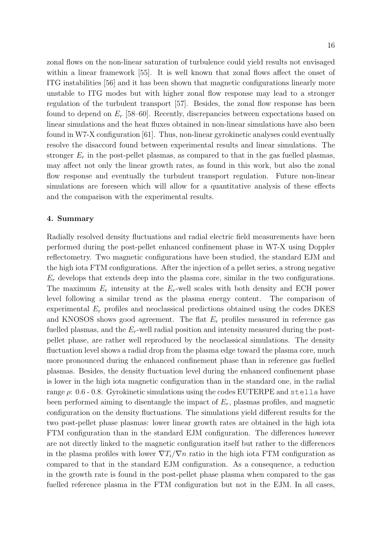zonal flows on the non-linear saturation of turbulence could yield results not envisaged within a linear framework [55]. It is well known that zonal flows affect the onset of ITG instabilities [56] and it has been shown that magnetic configurations linearly more unstable to ITG modes but with higher zonal flow response may lead to a stronger regulation of the turbulent transport [57]. Besides, the zonal flow response has been found to depend on  $E_r$  [58–60]. Recently, discrepancies between expectations based on linear simulations and the heat fluxes obtained in non-linear simulations have also been found in W7-X configuration [61]. Thus, non-linear gyrokinetic analyses could eventually resolve the disaccord found between experimental results and linear simulations. The stronger  $E_r$  in the post-pellet plasmas, as compared to that in the gas fuelled plasmas, may affect not only the linear growth rates, as found in this work, but also the zonal flow response and eventually the turbulent transport regulation. Future non-linear simulations are foreseen which will allow for a quantitative analysis of these effects and the comparison with the experimental results.

# 4. Summary

Radially resolved density fluctuations and radial electric field measurements have been performed during the post-pellet enhanced confinement phase in W7-X using Doppler reflectometry. Two magnetic configurations have been studied, the standard EJM and the high iota FTM configurations. After the injection of a pellet series, a strong negative  $E_r$  develops that extends deep into the plasma core, similar in the two configurations. The maximum  $E_r$  intensity at the  $E_r$ -well scales with both density and ECH power level following a similar trend as the plasma energy content. The comparison of experimental  $E_r$  profiles and neoclassical predictions obtained using the codes DKES and KNOSOS shows good agreement. The flat  $E_r$  profiles measured in reference gas fuelled plasmas, and the  $E_r$ -well radial position and intensity measured during the postpellet phase, are rather well reproduced by the neoclassical simulations. The density fluctuation level shows a radial drop from the plasma edge toward the plasma core, much more pronounced during the enhanced confinement phase than in reference gas fuelled plasmas. Besides, the density fluctuation level during the enhanced confinement phase is lower in the high iota magnetic configuration than in the standard one, in the radial range  $\rho$ : 0.6 - 0.8. Gyrokinetic simulations using the codes EUTERPE and stella have been performed aiming to disentangle the impact of  $E_r$ , plasmas profiles, and magnetic configuration on the density fluctuations. The simulations yield different results for the two post-pellet phase plasmas: lower linear growth rates are obtained in the high iota FTM configuration than in the standard EJM configuration. The differences however are not directly linked to the magnetic configuration itself but rather to the differences in the plasma profiles with lower  $\nabla T_i/\nabla n$  ratio in the high iota FTM configuration as compared to that in the standard EJM configuration. As a consequence, a reduction in the growth rate is found in the post-pellet phase plasma when compared to the gas fuelled reference plasma in the FTM configuration but not in the EJM. In all cases,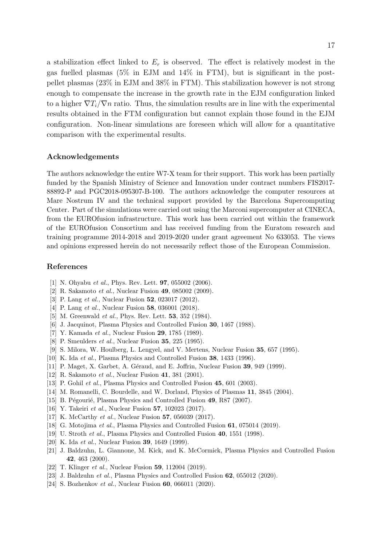a stabilization effect linked to  $E_r$  is observed. The effect is relatively modest in the gas fuelled plasmas (5% in EJM and 14% in FTM), but is significant in the postpellet plasmas (23% in EJM and 38% in FTM). This stabilization however is not strong enough to compensate the increase in the growth rate in the EJM configuration linked to a higher  $\nabla T_i/\nabla n$  ratio. Thus, the simulation results are in line with the experimental results obtained in the FTM configuration but cannot explain those found in the EJM configuration. Non-linear simulations are foreseen which will allow for a quantitative comparison with the experimental results.

#### Acknowledgements

The authors acknowledge the entire W7-X team for their support. This work has been partially funded by the Spanish Ministry of Science and Innovation under contract numbers FIS2017- 88892-P and PGC2018-095307-B-100. The authors acknowledge the computer resources at Mare Nostrum IV and the technical support provided by the Barcelona Supercomputing Center. Part of the simulations were carried out using the Marconi supercomputer at CINECA, from the EUROfusion infrastructure. This work has been carried out within the framework of the EUROfusion Consortium and has received funding from the Euratom research and training programme 2014-2018 and 2019-2020 under grant agreement No 633053. The views and opinions expressed herein do not necessarily reflect those of the European Commission.

### References

- [1] N. Ohyabu et al., Phys. Rev. Lett. **97**, 055002 (2006).
- [2] R. Sakamoto et al., Nuclear Fusion 49, 085002 (2009).
- [3] P. Lang *et al.*, Nuclear Fusion **52**, 023017 (2012).
- [4] P. Lang *et al.*, Nuclear Fusion **58**, 036001 (2018).
- [5] M. Greenwald *et al.*, Phys. Rev. Lett. **53**, 352 (1984).
- [6] J. Jacquinot, Plasma Physics and Controlled Fusion 30, 1467 (1988).
- [7] Y. Kamada et al., Nuclear Fusion **29**, 1785 (1989).
- [8] P. Smeulders et al., Nuclear Fusion 35, 225 (1995).
- [9] S. Milora, W. Houlberg, L. Lengyel, and V. Mertens, Nuclear Fusion 35, 657 (1995).
- [10] K. Ida et al., Plasma Physics and Controlled Fusion 38, 1433 (1996).
- [11] P. Maget, X. Garbet, A. Géraud, and E. Joffrin, Nuclear Fusion 39, 949 (1999).
- [12] R. Sakamoto et al., Nuclear Fusion 41, 381 (2001).
- [13] P. Gohil et al., Plasma Physics and Controlled Fusion 45, 601 (2003).
- [14] M. Romanelli, C. Bourdelle, and W. Dorland, Physics of Plasmas 11, 3845 (2004).
- [15] B. Pégourié, Plasma Physics and Controlled Fusion 49, R87 (2007).
- [16] Y. Takeiri et al., Nuclear Fusion 57, 102023 (2017).
- [17] K. McCarthy *et al.*, Nuclear Fusion **57**, 056039 (2017).
- [18] G. Motojima et al., Plasma Physics and Controlled Fusion 61, 075014 (2019).
- [19] U. Stroth *et al.*, Plasma Physics and Controlled Fusion **40**, 1551 (1998).
- [20] K. Ida et al., Nuclear Fusion **39**, 1649 (1999).
- [21] J. Baldzuhn, L. Giannone, M. Kick, and K. McCormick, Plasma Physics and Controlled Fusion 42, 463 (2000).
- [22] T. Klinger *et al.*, Nuclear Fusion **59**, 112004 (2019).
- [23] J. Baldzuhn et al., Plasma Physics and Controlled Fusion 62, 055012 (2020).
- [24] S. Bozhenkov et al., Nuclear Fusion **60**, 066011 (2020).